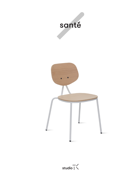